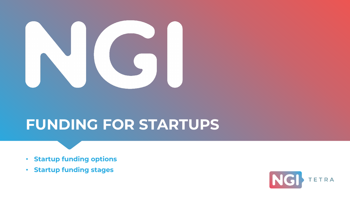

# **FUNDING FOR STARTUPS**

- **Startup funding options**
- **Startup funding stages**

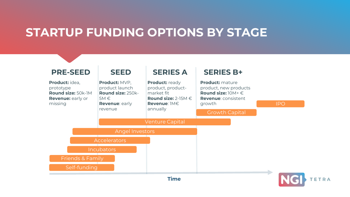### **STARTUP FUNDING OPTIONS BY STAGE**

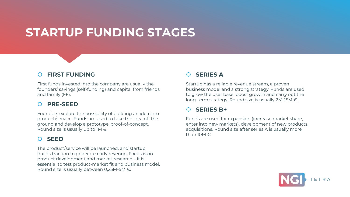## **STARTUP FUNDING STAGES**

#### **FIRST FUNDING**

First funds invested into the company are usually the founders' savings (self-funding) and capital from friends and family (FF).

#### **PRE-SEED**

Founders explore the possibility of building an idea into product/service. Funds are used to take the idea off the ground and develop a prototype, proof-of-concept. Round size is usually up to 1M  $\epsilon$ .

#### **SEED**

The product/service will be launched, and startup builds traction to generate early revenue. Focus is on product development and market research – it is essential to test product-market fit and business model. Round size is usually between 0,25M-5M €.

### **SERIES A**

Startup has a reliable revenue stream, a proven business model and a strong strategy. Funds are used to grow the user base, boost growth and carry out the long-term strategy. Round size is usually 2M-15M €.

#### **SERIES B+**

Funds are used for expansion (increase market share, enter into new markets), development of new products, acquisitions. Round size after series A is usually more than 10M $\epsilon$ .

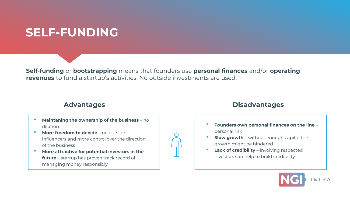## **SELF-FUNDING**

**Self-funding** or **bootstrapping** means that founders use **personal finances** and/or **operating revenues** to fund a startup's activities. No outside investments are used.

- **Maintaning the ownership of the business** no dilution
- **More freedom to decide**  no outside influencers and more control over the direction of the business
- **More attractive for potential investors in the future** – startup has proven track record of managing money responsibly



- **Founders own personal finances on the line** personal risk
- **Slow growth** without enough capital the growth might be hindered
- **Lack of credibility** involving respected investors can help to build credibility



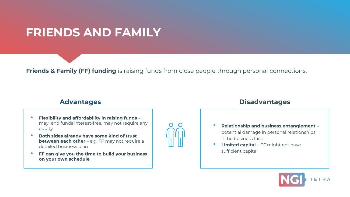## **FRIENDS AND FAMILY**

**Friends & Family (FF) funding** is raising funds from close people through personal connections.

- **Flexibility and affordability in raising funds**  may lend funds interest-free, may not require any equity
- **Both sides already have some kind of trust between each other** – e.g. FF may not require a detailed business plan
- **FF can give you the time to build your business on your own schedule**

- **Relationship and business entanglement –** potential damage in personal relationships if the business fails
- **Limited capital –** FF might not have sufficient capital

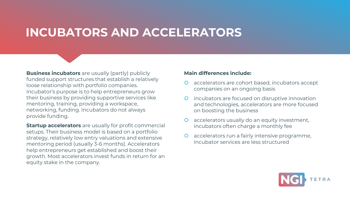### **INCUBATORS AND ACCELERATORS**

**Business incubators** are usually (partly) publicly funded support structures that establish a relatively loose relationship with portfolio companies. Incubator's purpose is to help entrepreneurs grow their business by providing supportive services like mentoring, training, providing a workspace, networking, funding. Incubators do not always provide funding.

**Startup accelerators** are usually for profit commercial setups. Their business model is based on a portfolio strategy, relatively low entry valuations and extensive mentoring period (usually 3-6 months). Accelerators help entrepreneurs get established and boost their growth. Most accelerators invest funds in return for an equity stake in the company.

#### **Main differences include:**

- accelerators are cohort based, incubators accept companies on an ongoing basis
- **O** incubators are focused on disruptive innovation and technologies, accelerators are more focused on boosting the business
- accelerators usually do an equity investment, incubators often charge a monthly fee
- accelerators run a fairly intensive programme, incubator services are less structured

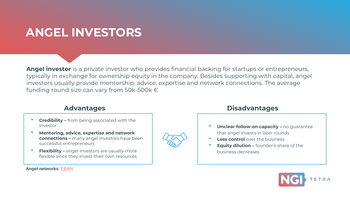## **ANGEL INVESTORS**

**Angel investor** is a private investor who provides financial backing for startups or entrepreneurs, typically in exchange for ownership equity in the company. Besides supporting with capital, angel investors usually provide mentorship, advice, expertise and network connections. The average funding round size can vary from 50k-500k  $\in$ 

- **Credibility –** from being associated with the investor
- **Mentoring, advice, expertise and network connections –** many angel investors have been successful entrepreneurs
- **Flexibility -** angel investors are usually more flexible since they invest their own resources

**Angel networks**: [EBAN](https://www.eban.org/)



- **Unclear follow-on capacity -** no quarantee that angel invests in later rounds
- **Less control** over the business
- **Equity dilution –** founder's share of the business decreases

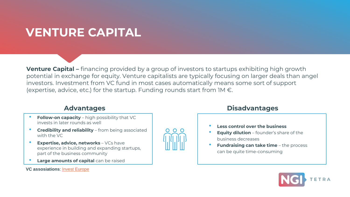## **VENTURE CAPITAL**

**Venture Capital –** financing provided by a group of investors to startups exhibiting high growth potential in exchange for equity. Venture capitalists are typically focusing on larger deals than angel investors. Investment from VC fund in most cases automatically means some sort of support (expertise, advice, etc.) for the startup. Funding rounds start from  $1M \in$ .

- **Follow-on capacity** high possibility that VC invests in later rounds as well
- **Credibility and reliability** from being associated with the VC
- **Expertise, advice, networks** VCs have experience in building and expanding startups, part of the business community
- **Large amounts of capital** can be raised

**VC assosiations**: [Invest Europe](https://www.investeurope.eu/)



### **Advantages Disadvantages**

#### • **Less control over the business**

- **Equity dilution** founder's share of the business decreases
- **Fundraising can take time** the process can be quite time-consuming

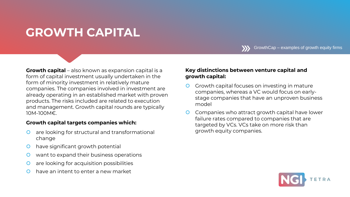## **GROWTH CAPITAL**

**Growth capital** – also known as expansion capital is a form of capital investment usually undertaken in the form of minority investment in relatively mature companies. The companies involved in investment are already operating in an established market with proven products. The risks included are related to execution and management. Growth capital rounds are typically 10M-100M€.

#### **Growth capital targets companies which:**

- are looking for structural and transformational change
- **O** have significant growth potential
- **O** want to expand their business operations
- are looking for acquisition possibilities
- have an intent to enter a new market

#### **Key distinctions between venture capital and growth capital:**

- **O** Growth capital focuses on investing in mature companies, whereas a VC would focus on earlystage companies that have an unproven business model
- **O** Companies who attract growth capital have lower failure rates compared to companies that are targeted by VCs. VCs take on more risk than growth equity companies.



GrowthCap – examples of growth equity firms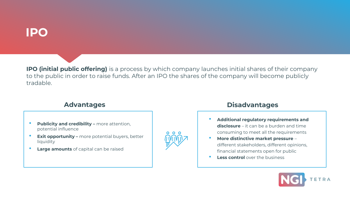## **IPO**

**IPO (initial public offering)** is a process by which company launches initial shares of their company to the public in order to raise funds. After an IPO the shares of the company will become publicly tradable.

- **Publicity and credibility –** more attention, potential influence
- **Exit opportunity –** more potential buyers, better liquidity
- **Large amounts** of capital can be raised



- **Additional regulatory requirements and disclosure** – it can be a burden and time consuming to meet all the requirements
- **More distinctive market pressure**  different stakeholders, different opinions, financial statements open for public
- **Less control** over the business

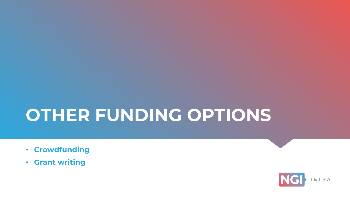# **OTHER FUNDING OPTIONS**

- **Crowdfunding**
- **Grant writing**

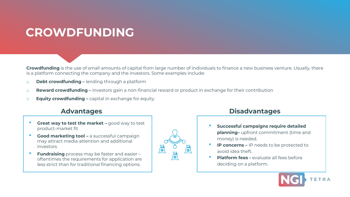## **CROWDFUNDING**

**Crowdfunding** is the use of small amounts of capital from large number of individuals to finance a new business venture. Usually, there is a platform connecting the company and the investors. Some examples include:

- o **Debt crowdfunding –** lending through a platform
- o **Reward crowdfunding –** investors gain a non-financial reward or product in exchange for their contribution
- o **Equity crowdfunding –** capital in exchange for equity

- **Great way to test the market -** good way to test product-market fit
- **Good marketing tool –** a successful campaign may attract media attention and additional investors
- **Fundraising** process may be faster and easier oftentimes the requirements for application are less strict than for traditional financing options.



- **Successful campaigns require detailed planning–** upfront commitment (time and money) is needed.
- **IP concerns –** IP needs to be protected to avoid idea theft.
- **Platform fees -** evaluate all fees before deciding on a platform.

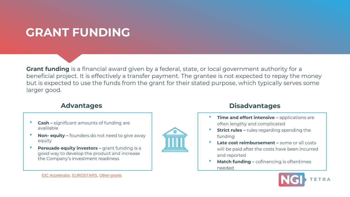## **GRANT FUNDING**

**Grant funding** is a financial award given by a federal, state, or local government authority for a beneficial project. It is effectively a transfer payment. The grantee is not expected to repay the money but is expected to use the funds from the grant for their stated purpose, which typically serves some larger good.

- **Cash –** significant amounts of funding are avalilable
- **Non- equity –** founders do not need to give away equity
- **Persuade equity investors -** grant funding is a good way to develop the product and increase the Company's investment readiness





- **Time and effort intensive -** applications are often lengthy and complicated
- **Strict rules –** rules regarding spending the funding
- **Late cost reimbursement** some or all costs will be paid after the costs have been incurred and reported
- **Match funding -** cofinancing is oftentimes needed

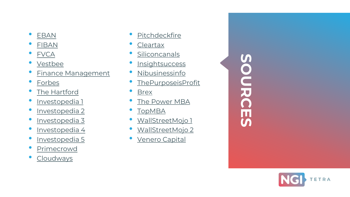### • [EBAN](https://www.eban.org/angel-investing-explained/)

- [FIBAN](https://fiban.org/data/)
- **[FVCA](https://paaomasijoittajat.fi/wp-content/uploads/Venture-Capital-in-Finland-2020-FINAL.pdf)**
- [Vestbee](https://www.vestbee.com/blog/articles/types-of-startup-funding-rounds)
- **[Finance Management](https://efinancemanagement.com/sources-of-finance/advantages-and-disadvantages-of-venture-capital)**
- [Forbes](https://www.forbes.com/sites/tanyaprive/2012/10/12/top-10-benefits-of-crowdfunding-2/?sh=c2b9abd2c5e6)
- [The Hartford](https://www.thehartford.com/business-insurance/strategy/business-financing/venture-capital)
- [Investopedia 1](https://www.investopedia.com/terms/a/angelinvestor.asp:~:text=An%20angel%20investor%20(also%20known,an%20entrepreneur)
- [Investopedia 2](https://www.investopedia.com/terms/v/venturecapitalist.asp)
- [Investopedia 3](https://www.investopedia.com/ask/answers/advantages-disadvantages-company-going-public/)
- · [Investopedia 4](https://www.investopedia.com/terms/c/crowdfunding.asp#:~:text=Crowdfunding%20is%20the%20use%20of,finance%20a%20new%20business%20venture.)
- · [Investopedia 5](https://www.investopedia.com/terms/g/government-grant.asp)
- **[Primecrowd](https://prime-crowd.com/en/kc/startup-stages)**
- **[Cloudways](https://www.cloudways.com/blog/startup-funding-stages/)**
- **[Pitchdeckfire](https://pitchdeckfire.com/resources/the-pros-and-cons-of-the-friends-and-family-round-of-funding/)**
- **[Cleartax](https://cleartax.in/s/startup-funding-rounds-life-cycle)**
- **[Siliconcanals](https://siliconcanals.com/news/startups/the-5-main-pros-and-cons-of-using-angel-investors-to-fund-your-startup/)**
- **[Insightsuccess](https://www.insightssuccess.in/how-ipo-is-beneficial-for-a-company-to-raise-funds/#:~:text=IPO%20or%20Initial%20Public%20Offering,listed%20in%20the%20stock%20exchange.)**
- [Nibusinessinfo](https://www.nibusinessinfo.co.uk/content/advantages-and-disadvantages-raising-finance-friends-and-family)
- [ThePurposeisProfit](https://thepurposeisprofit.com/2015/04/29/the-advantages-and-disadvantages-of-friends-family-funding/)
- **[Brex](https://www.brex.com/blog/what-is-startup-accelerator/)**
- **[The Power MBA](https://www.thepowermba.com/en/entrepreneurship/pros-and-cons-of-crowdfunding)**
- [TopMBA](https://www.topmba.com/blog/what-startup-incubator)
- [WallStreetMojo](https://www.wallstreetmojo.com/growth-equity/) <sup>1</sup>
- [WallStreetMojo](https://www.wallstreetmojo.com/growth-capital/#venture) <sup>2</sup>
- **[Venero](https://pulse.venerocapital.com/understanding-the-difference-between-growth-equity-and-venture-capital-a4a6adc22902#:~:text=Growth%2Dstage%20Private%20Equity%20sits,stake%20in%20the%20target%20company.) Capital**